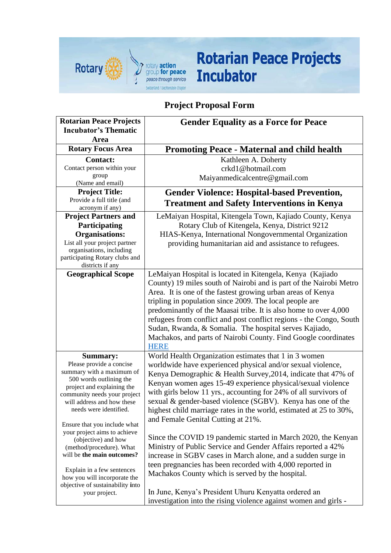

## **Rotarian Peace Projects Incubator**

## **Project Proposal Form**

| <b>Rotarian Peace Projects</b>                                   | <b>Gender Equality as a Force for Peace</b>                                                                                  |
|------------------------------------------------------------------|------------------------------------------------------------------------------------------------------------------------------|
| <b>Incubator's Thematic</b>                                      |                                                                                                                              |
| Area                                                             |                                                                                                                              |
| <b>Rotary Focus Area</b>                                         | <b>Promoting Peace - Maternal and child health</b>                                                                           |
| <b>Contact:</b>                                                  | Kathleen A. Doherty                                                                                                          |
| Contact person within your                                       | crkd1@hotmail.com                                                                                                            |
| group<br>(Name and email)                                        | Maiyanmedicalcentre@gmail.com                                                                                                |
| <b>Project Title:</b>                                            | <b>Gender Violence: Hospital-based Prevention,</b>                                                                           |
| Provide a full title (and                                        |                                                                                                                              |
| acronym if any)                                                  | <b>Treatment and Safety Interventions in Kenya</b>                                                                           |
| <b>Project Partners and</b>                                      | LeMaiyan Hospital, Kitengela Town, Kajiado County, Kenya                                                                     |
| Participating                                                    | Rotary Club of Kitengela, Kenya, District 9212                                                                               |
| <b>Organisations:</b>                                            | HIAS-Kenya, International Nongovernmental Organization                                                                       |
| List all your project partner<br>organisations, including        | providing humanitarian aid and assistance to refugees.                                                                       |
| participating Rotary clubs and                                   |                                                                                                                              |
| districts if any                                                 |                                                                                                                              |
| <b>Geographical Scope</b>                                        | LeMaiyan Hospital is located in Kitengela, Kenya (Kajiado                                                                    |
|                                                                  | County) 19 miles south of Nairobi and is part of the Nairobi Metro                                                           |
|                                                                  | Area. It is one of the fastest growing urban areas of Kenya                                                                  |
|                                                                  | tripling in population since 2009. The local people are                                                                      |
|                                                                  | predominantly of the Maasai tribe. It is also home to over 4,000                                                             |
|                                                                  | refugees from conflict and post conflict regions - the Congo, South                                                          |
|                                                                  | Sudan, Rwanda, & Somalia. The hospital serves Kajiado,                                                                       |
|                                                                  | Machakos, and parts of Nairobi County. Find Google coordinates                                                               |
|                                                                  | <b>HERE</b>                                                                                                                  |
| <b>Summary:</b><br>Please provide a concise                      | World Health Organization estimates that 1 in 3 women                                                                        |
| summary with a maximum of                                        | worldwide have experienced physical and/or sexual violence,                                                                  |
| 500 words outlining the                                          | Kenya Demographic & Health Survey, 2014, indicate that 47% of<br>Kenyan women ages 15-49 experience physical/sexual violence |
| project and explaining the                                       | with girls below 11 yrs., accounting for 24% of all survivors of                                                             |
| community needs your project<br>will address and how these       | sexual & gender-based violence (SGBV). Kenya has one of the                                                                  |
| needs were identified.                                           | highest child marriage rates in the world, estimated at 25 to 30%,                                                           |
|                                                                  | and Female Genital Cutting at 21%.                                                                                           |
| Ensure that you include what                                     |                                                                                                                              |
| your project aims to achieve<br>(objective) and how              | Since the COVID 19 pandemic started in March 2020, the Kenyan                                                                |
| (method/procedure). What                                         | Ministry of Public Service and Gender Affairs reported a 42%                                                                 |
| will be the main outcomes?                                       | increase in SGBV cases in March alone, and a sudden surge in                                                                 |
|                                                                  | teen pregnancies has been recorded with 4,000 reported in                                                                    |
| Explain in a few sentences                                       | Machakos County which is served by the hospital.                                                                             |
| how you will incorporate the<br>objective of sustainability into |                                                                                                                              |
| your project.                                                    | In June, Kenya's President Uhuru Kenyatta ordered an                                                                         |
|                                                                  | investigation into the rising violence against women and girls -                                                             |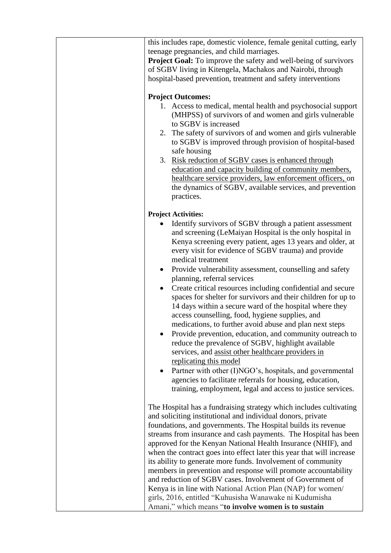| this includes rape, domestic violence, female genital cutting, early<br>teenage pregnancies, and child marriages.<br>Project Goal: To improve the safety and well-being of survivors<br>of SGBV living in Kitengela, Machakos and Nairobi, through<br>hospital-based prevention, treatment and safety interventions                                                                                                                                                                                                                                                                                                                                                                                                                                                                                                                                                                                                                                                                                                                                                                                                 |
|---------------------------------------------------------------------------------------------------------------------------------------------------------------------------------------------------------------------------------------------------------------------------------------------------------------------------------------------------------------------------------------------------------------------------------------------------------------------------------------------------------------------------------------------------------------------------------------------------------------------------------------------------------------------------------------------------------------------------------------------------------------------------------------------------------------------------------------------------------------------------------------------------------------------------------------------------------------------------------------------------------------------------------------------------------------------------------------------------------------------|
| <b>Project Outcomes:</b><br>1. Access to medical, mental health and psychosocial support<br>(MHPSS) of survivors of and women and girls vulnerable<br>to SGBV is increased<br>The safety of survivors of and women and girls vulnerable<br>2.<br>to SGBV is improved through provision of hospital-based<br>safe housing<br>3. Risk reduction of SGBV cases is enhanced through<br>education and capacity building of community members,<br>healthcare service providers, law enforcement officers, on<br>the dynamics of SGBV, available services, and prevention<br>practices.                                                                                                                                                                                                                                                                                                                                                                                                                                                                                                                                    |
| <b>Project Activities:</b><br>Identify survivors of SGBV through a patient assessment<br>and screening (LeMaiyan Hospital is the only hospital in<br>Kenya screening every patient, ages 13 years and older, at<br>every visit for evidence of SGBV trauma) and provide<br>medical treatment<br>Provide vulnerability assessment, counselling and safety<br>$\bullet$<br>planning, referral services<br>Create critical resources including confidential and secure<br>$\bullet$<br>spaces for shelter for survivors and their children for up to<br>14 days within a secure ward of the hospital where they<br>access counselling, food, hygiene supplies, and<br>medications, to further avoid abuse and plan next steps<br>Provide prevention, education, and community outreach to<br>reduce the prevalence of SGBV, highlight available<br>services, and assist other healthcare providers in<br>replicating this model<br>Partner with other (I)NGO's, hospitals, and governmental<br>agencies to facilitate referrals for housing, education,<br>training, employment, legal and access to justice services. |
| The Hospital has a fundraising strategy which includes cultivating<br>and soliciting institutional and individual donors, private<br>foundations, and governments. The Hospital builds its revenue<br>streams from insurance and cash payments. The Hospital has been<br>approved for the Kenyan National Health Insurance (NHIF), and<br>when the contract goes into effect later this year that will increase<br>its ability to generate more funds. Involvement of community<br>members in prevention and response will promote accountability<br>and reduction of SGBV cases. Involvement of Government of<br>Kenya is in line with National Action Plan (NAP) for women/<br>girls, 2016, entitled "Kuhusisha Wanawake ni Kudumisha<br>Amani," which means "to involve women is to sustain                                                                                                                                                                                                                                                                                                                      |